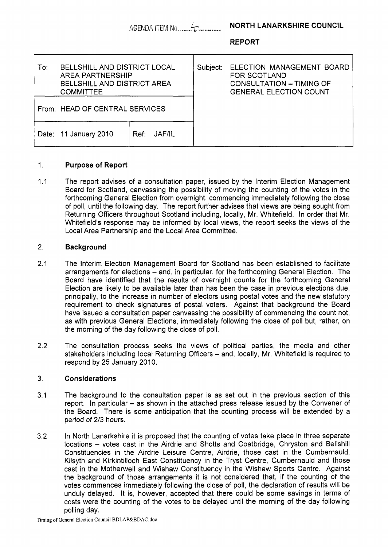|     | AGENDA ITEM No.                                                                                                          |                       |          | <b>NORTH LANARKSHIRE COUNCIL</b>                                                                       |
|-----|--------------------------------------------------------------------------------------------------------------------------|-----------------------|----------|--------------------------------------------------------------------------------------------------------|
|     |                                                                                                                          |                       |          | <b>REPORT</b>                                                                                          |
| To: | <b>BELLSHILL AND DISTRICT LOCAL</b><br><b>AREA PARTNERSHIP</b><br><b>BELLSHILL AND DISTRICT AREA</b><br><b>COMMITTEE</b> |                       | Subject: | ELECTION MANAGEMENT BOARD<br>FOR SCOTLAND<br>CONSULTATION - TIMING OF<br><b>GENERAL ELECTION COUNT</b> |
|     | From: HEAD OF CENTRAL SERVICES                                                                                           |                       |          |                                                                                                        |
|     | Date: 11 January 2010                                                                                                    | <b>JAF/IL</b><br>Ref: |          |                                                                                                        |

### 1. **Purpose of Report**

1.1 The report advises of a consultation paper, issued by the Interim Election Management Board for Scotland, canvassing the possibility of moving the counting of the votes in the forthcoming General Election from overnight, commencing immediately following the close of poll, until the following day. The report further advises that views are being sought from Returning Officers throughout Scotland including, locally, Mr. Whitefield. In order that Mr. Whitefield's response may be informed by local views, the report seeks the views of the Local Area Partnership and the Local Area Committee.

### 2. **Background**

- 2.1 The Interim Election Management Board for Scotland has been established to facilitate arrangements for elections – and, in particular, for the forthcoming General Election. The Board have identified that the results of overnight counts for the forthcoming General Election are likely to be available later than has been the case in previous elections due, principally, to the increase in number of electors using postal votes and the new statutory requirement to check signatures of postal voters. Against that background the Board have issued a consultation paper canvassing the possibility of commencing the count not, as with previous General Elections, immediately following the close of poll but, rather, on the morning of the day following the close of poll.
- 2.2 The consultation process seeks the views of political parties, the media and other stakeholders including local Returning Officers - and, locally, Mr. Whitefield is required to respond by 25 January 2010.

## 3. **Considerations**

- 3.1 The background to the consultation paper is as set out in the previous section of this report. In particular – as shown in the attached press release issued by the Convener of the Board. There is some anticipation that the counting process will be extended by a period of 2/3 hours.
- 3.2 In North Lanarkshire it is proposed that the counting of votes take place in three separate locations - votes cast in the Airdrie and Shotts and Coatbridge, Chryston and Bellshill Constituencies in the Airdrie Leisure Centre, Airdrie, those cast in the Cumbernauld, Kilsyth and Kirkintilloch East Constituency in the Tryst Centre, Cumbernauld and those cast in the Motherwell and Wishaw Constituency in the Wishaw Sports Centre. Against the background of those arrangements it is not considered that, if the counting of the votes commences immediately following the close of poll, the declaration of results will be unduly delayed. It is, however, accepted that there could be some savings in terms of costs were the counting of the votes to be delayed until the morning of the day following polling day.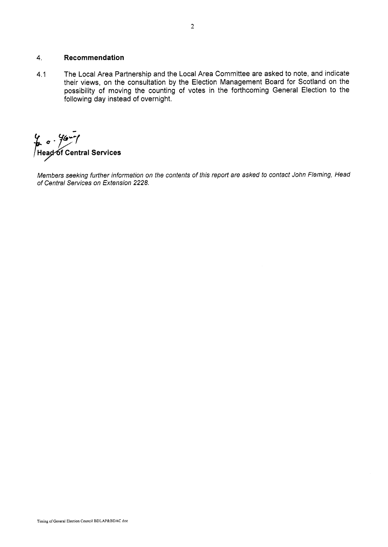# **4.** Recommendation

4.1 The Local Area Partnership and the Local Area Committee are asked to note, and indicate their views, on the consultation by the Election Management Board for Scotland on the possibility of moving the counting of votes in the forthcoming General Election to the following day instead of overnight.

**k**  $\sigma$  · *f* $\sigma$  **· f<br>Head of Central Services** 

*Members seeking further information on the contents of this report are asked to contact John Fleming, Head of Central Services on Extension* 2228.